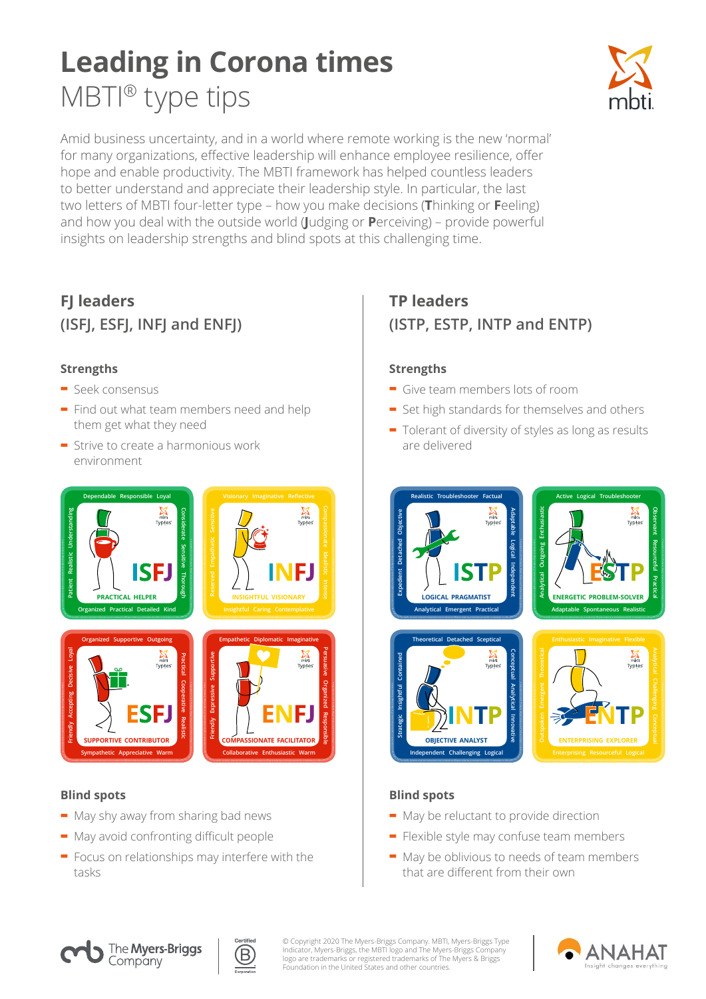# **Leading in Corona times**  MBTI® type tips



Amid business uncertainty, and in a world where remote working is the new 'normal' for many organizations, effective leadership will enhance employee resilience, offer hope and enable productivity. The MBTI framework has helped countless leaders to better understand and appreciate their leadership style. In particular, the last two letters of MBTI four-letter type – how you make decisions (**T**hinking or **F**eeling) and how you deal with the outside world (**J**udging or **P**erceiving) – provide powerful insights on leadership strengths and blind spots at this challenging time.

## **FJ leaders (ISFJ, ESFJ, INFJ and ENFJ)**

### **Strengths**

- **-** Seek consensus
- **-** Find out what team members need and help them get what they need
- **-** Strive to create a harmonious work environment



### **Blind spots**

- **-** May shy away from sharing bad news
- **-** May avoid confronting difficult people
- **-** Focus on relationships may interfere with the tasks

### **TP leaders (ISTP, ESTP, INTP and ENTP)**

#### **Strengths**

- **-** Give team members lots of room
- **-** Set high standards for themselves and others
- **-** Tolerant of diversity of styles as long as results are delivered



### **Blind spots**

- **-** May be reluctant to provide direction
- **-** Flexible style may confuse team members
- **-** May be oblivious to needs of team members that are different from their own





© Copyright 2020 The Myers-Briggs Company. MBTI, Myers-Briggs Type<br>Indicator, Myers-Briggs, the MBTI logo and The Myers-Briggs Company<br>logo are trademarks or registered trademarks of The Myers & Briggs<br>Foundation in the Un